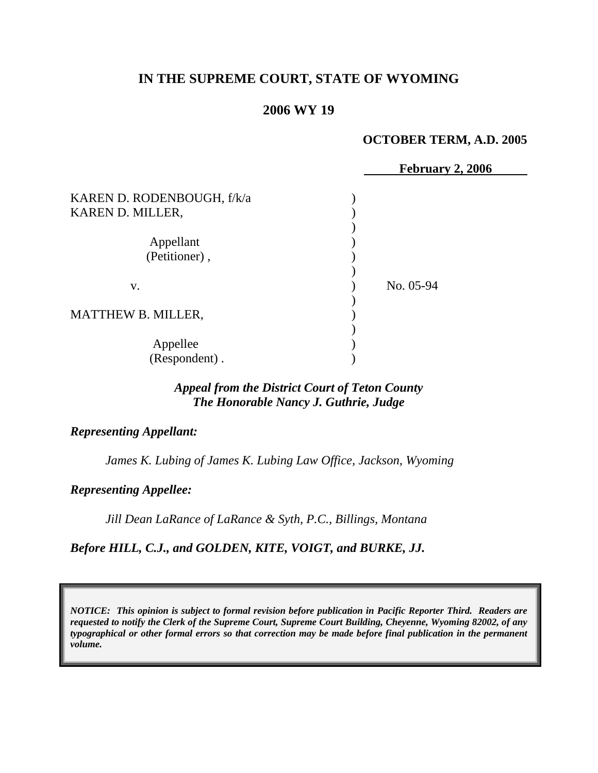## **IN THE SUPREME COURT, STATE OF WYOMING**

#### **2006 WY 19**

#### **OCTOBER TERM, A.D. 2005**

|                            | <b>February 2, 2006</b> |
|----------------------------|-------------------------|
| KAREN D. RODENBOUGH, f/k/a |                         |
| KAREN D. MILLER,           |                         |
|                            |                         |
| Appellant                  |                         |
| (Petitioner),              |                         |
|                            |                         |
| V.                         | No. 05-94               |
|                            |                         |
| <b>MATTHEW B. MILLER,</b>  |                         |
|                            |                         |
| Appellee                   |                         |
| (Respondent).              |                         |

### *Appeal from the District Court of Teton County The Honorable Nancy J. Guthrie, Judge*

#### *Representing Appellant:*

*James K. Lubing of James K. Lubing Law Office, Jackson, Wyoming* 

*Representing Appellee:*

*Jill Dean LaRance of LaRance & Syth, P.C., Billings, Montana* 

*Before HILL, C.J., and GOLDEN, KITE, VOIGT, and BURKE, JJ.* 

*NOTICE: This opinion is subject to formal revision before publication in Pacific Reporter Third. Readers are requested to notify the Clerk of the Supreme Court, Supreme Court Building, Cheyenne, Wyoming 82002, of any typographical or other formal errors so that correction may be made before final publication in the permanent volume.*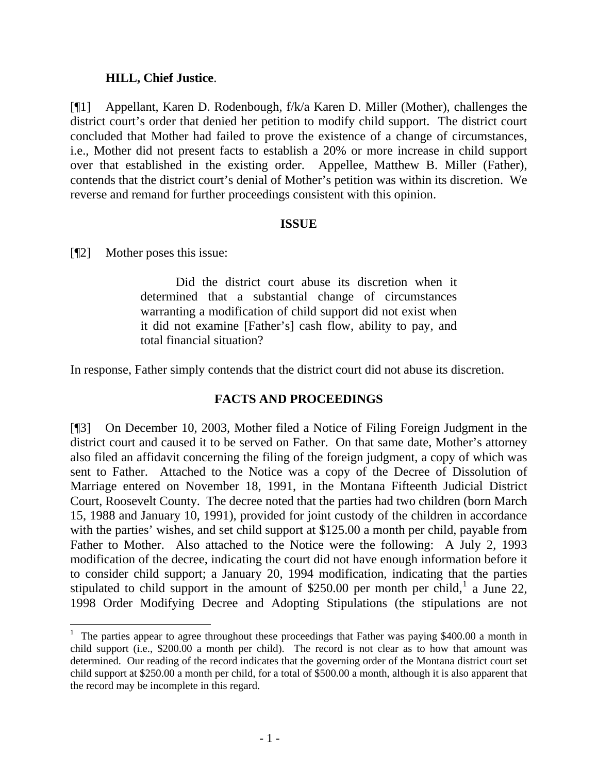#### **HILL, Chief Justice**.

[¶1] Appellant, Karen D. Rodenbough, f/k/a Karen D. Miller (Mother), challenges the district court's order that denied her petition to modify child support. The district court concluded that Mother had failed to prove the existence of a change of circumstances, i.e., Mother did not present facts to establish a 20% or more increase in child support over that established in the existing order. Appellee, Matthew B. Miller (Father), contends that the district court's denial of Mother's petition was within its discretion. We reverse and remand for further proceedings consistent with this opinion.

#### **ISSUE**

[¶2] Mother poses this issue:

 Did the district court abuse its discretion when it determined that a substantial change of circumstances warranting a modification of child support did not exist when it did not examine [Father's] cash flow, ability to pay, and total financial situation?

In response, Father simply contends that the district court did not abuse its discretion.

### **FACTS AND PROCEEDINGS**

[¶3] On December 10, 2003, Mother filed a Notice of Filing Foreign Judgment in the district court and caused it to be served on Father. On that same date, Mother's attorney also filed an affidavit concerning the filing of the foreign judgment, a copy of which was sent to Father. Attached to the Notice was a copy of the Decree of Dissolution of Marriage entered on November 18, 1991, in the Montana Fifteenth Judicial District Court, Roosevelt County. The decree noted that the parties had two children (born March 15, 1988 and January 10, 1991), provided for joint custody of the children in accordance with the parties' wishes, and set child support at \$125.00 a month per child, payable from Father to Mother. Also attached to the Notice were the following: A July 2, 1993 modification of the decree, indicating the court did not have enough information before it to consider child support; a January 20, 1994 modification, indicating that the parties stipulated to child support in the amount of \$250.00 per month per child,<sup>[1](#page-2-0)</sup> a June 22, 1998 Order Modifying Decree and Adopting Stipulations (the stipulations are not

<span id="page-2-0"></span><sup>&</sup>lt;sup>1</sup> The parties appear to agree throughout these proceedings that Father was paying \$400.00 a month in child support (i.e., \$200.00 a month per child). The record is not clear as to how that amount was determined. Our reading of the record indicates that the governing order of the Montana district court set child support at \$250.00 a month per child, for a total of \$500.00 a month, although it is also apparent that the record may be incomplete in this regard.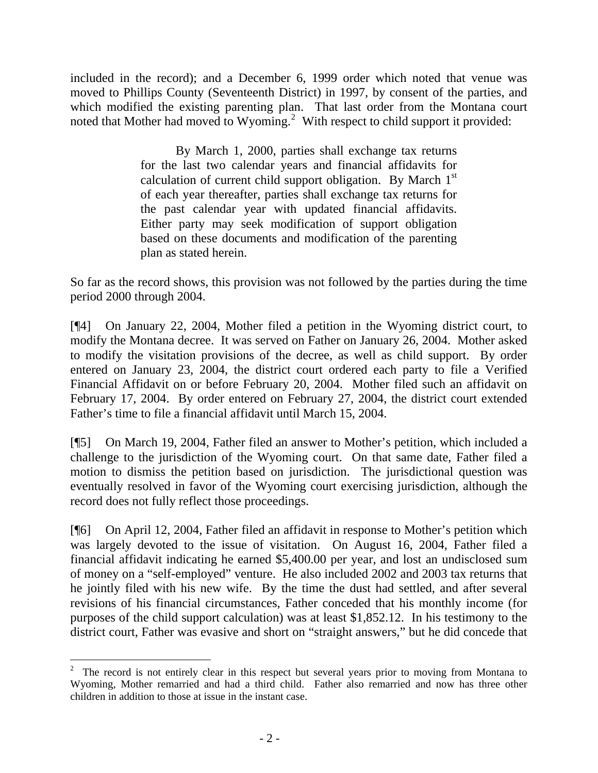included in the record); and a December 6, 1999 order which noted that venue was moved to Phillips County (Seventeenth District) in 1997, by consent of the parties, and which modified the existing parenting plan. That last order from the Montana court noted that Mother had moved to Wyoming.<sup>[2](#page-3-0)</sup> With respect to child support it provided:

> By March 1, 2000, parties shall exchange tax returns for the last two calendar years and financial affidavits for calculation of current child support obligation. By March  $1<sup>st</sup>$ of each year thereafter, parties shall exchange tax returns for the past calendar year with updated financial affidavits. Either party may seek modification of support obligation based on these documents and modification of the parenting plan as stated herein.

So far as the record shows, this provision was not followed by the parties during the time period 2000 through 2004.

[¶4] On January 22, 2004, Mother filed a petition in the Wyoming district court, to modify the Montana decree. It was served on Father on January 26, 2004. Mother asked to modify the visitation provisions of the decree, as well as child support. By order entered on January 23, 2004, the district court ordered each party to file a Verified Financial Affidavit on or before February 20, 2004. Mother filed such an affidavit on February 17, 2004. By order entered on February 27, 2004, the district court extended Father's time to file a financial affidavit until March 15, 2004.

[¶5] On March 19, 2004, Father filed an answer to Mother's petition, which included a challenge to the jurisdiction of the Wyoming court. On that same date, Father filed a motion to dismiss the petition based on jurisdiction. The jurisdictional question was eventually resolved in favor of the Wyoming court exercising jurisdiction, although the record does not fully reflect those proceedings.

[¶6] On April 12, 2004, Father filed an affidavit in response to Mother's petition which was largely devoted to the issue of visitation. On August 16, 2004, Father filed a financial affidavit indicating he earned \$5,400.00 per year, and lost an undisclosed sum of money on a "self-employed" venture. He also included 2002 and 2003 tax returns that he jointly filed with his new wife. By the time the dust had settled, and after several revisions of his financial circumstances, Father conceded that his monthly income (for purposes of the child support calculation) was at least \$1,852.12. In his testimony to the district court, Father was evasive and short on "straight answers," but he did concede that

<span id="page-3-0"></span><sup>&</sup>lt;sup>2</sup> The record is not entirely clear in this respect but several years prior to moving from Montana to Wyoming, Mother remarried and had a third child. Father also remarried and now has three other children in addition to those at issue in the instant case.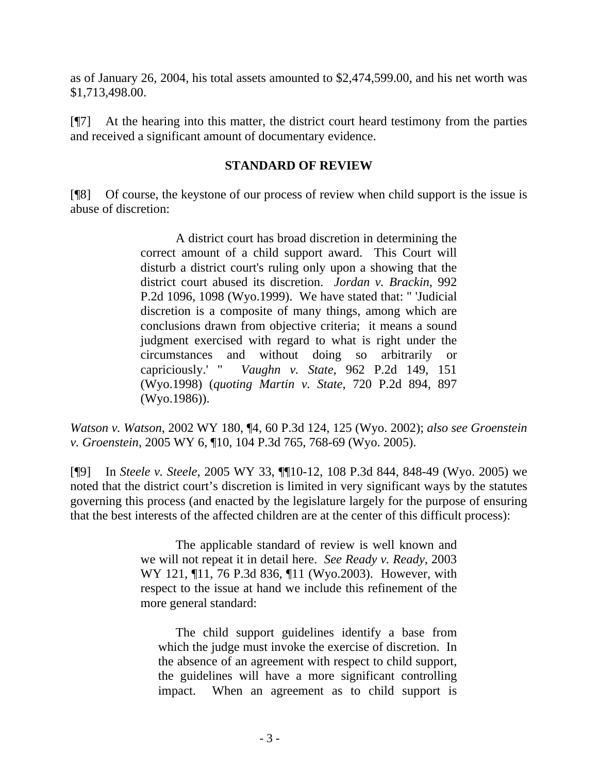as of January 26, 2004, his total assets amounted to \$2,474,599.00, and his net worth was \$1,713,498.00.

[¶7] At the hearing into this matter, the district court heard testimony from the parties and received a significant amount of documentary evidence.

### **STANDARD OF REVIEW**

[¶8] Of course, the keystone of our process of review when child support is the issue is abuse of discretion:

> A district court has broad discretion in determining the correct amount of a child support award. This Court will disturb a district court's ruling only upon a showing that the district court abused its discretion. *Jordan v. Brackin*, 992 P.2d 1096, 1098 (Wyo.1999). We have stated that: " 'Judicial discretion is a composite of many things, among which are conclusions drawn from objective criteria; it means a sound judgment exercised with regard to what is right under the circumstances and without doing so arbitrarily or capriciously.' " *Vaughn v. State*, 962 P.2d 149, 151 (Wyo.1998) (*quoting Martin v. State*, 720 P.2d 894, 897 (Wyo.1986)).

*Watson v. Watson*, 2002 WY 180, ¶4, 60 P.3d 124, 125 (Wyo. 2002); *also see Groenstein v. Groenstein*, 2005 WY 6, ¶10, 104 P.3d 765, 768-69 (Wyo. 2005).

[¶9] In *Steele v. Steele*, 2005 WY 33, ¶¶10-12, 108 P.3d 844, 848-49 (Wyo. 2005) we noted that the district court's discretion is limited in very significant ways by the statutes governing this process (and enacted by the legislature largely for the purpose of ensuring that the best interests of the affected children are at the center of this difficult process):

> The applicable standard of review is well known and we will not repeat it in detail here. *See Ready v. Ready*, 2003 WY 121, ¶11, 76 P.3d 836, ¶11 (Wyo.2003). However, with respect to the issue at hand we include this refinement of the more general standard:

 The child support guidelines identify a base from which the judge must invoke the exercise of discretion. In the absence of an agreement with respect to child support, the guidelines will have a more significant controlling impact. When an agreement as to child support is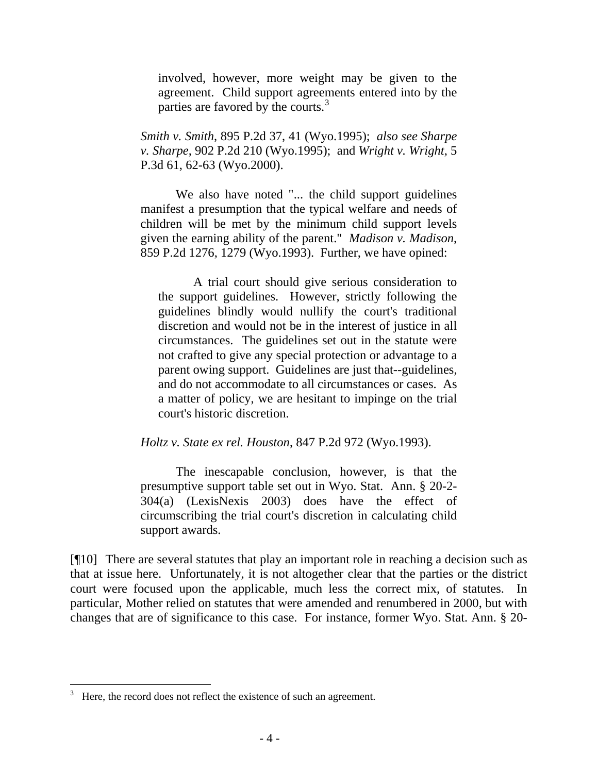involved, however, more weight may be given to the agreement. Child support agreements entered into by the parties are favored by the courts.<sup>[3](#page-5-0)</sup>

*Smith v. Smith*, 895 P.2d 37, 41 (Wyo.1995); *also see Sharpe v. Sharpe*, 902 P.2d 210 (Wyo.1995); and *Wright v. Wright*, 5 P.3d 61, 62-63 (Wyo.2000).

We also have noted "... the child support guidelines manifest a presumption that the typical welfare and needs of children will be met by the minimum child support levels given the earning ability of the parent." *Madison v. Madison*, 859 P.2d 1276, 1279 (Wyo.1993). Further, we have opined:

A trial court should give serious consideration to the support guidelines. However, strictly following the guidelines blindly would nullify the court's traditional discretion and would not be in the interest of justice in all circumstances. The guidelines set out in the statute were not crafted to give any special protection or advantage to a parent owing support. Guidelines are just that--guidelines, and do not accommodate to all circumstances or cases. As a matter of policy, we are hesitant to impinge on the trial court's historic discretion.

*Holtz v. State ex rel. Houston*, 847 P.2d 972 (Wyo.1993).

 The inescapable conclusion, however, is that the presumptive support table set out in Wyo. Stat. Ann. § 20-2- 304(a) (LexisNexis 2003) does have the effect of circumscribing the trial court's discretion in calculating child support awards.

[¶10] There are several statutes that play an important role in reaching a decision such as that at issue here. Unfortunately, it is not altogether clear that the parties or the district court were focused upon the applicable, much less the correct mix, of statutes. In particular, Mother relied on statutes that were amended and renumbered in 2000, but with changes that are of significance to this case. For instance, former Wyo. Stat. Ann. § 20-

 $\overline{a}$ 

<span id="page-5-0"></span><sup>3</sup> Here, the record does not reflect the existence of such an agreement.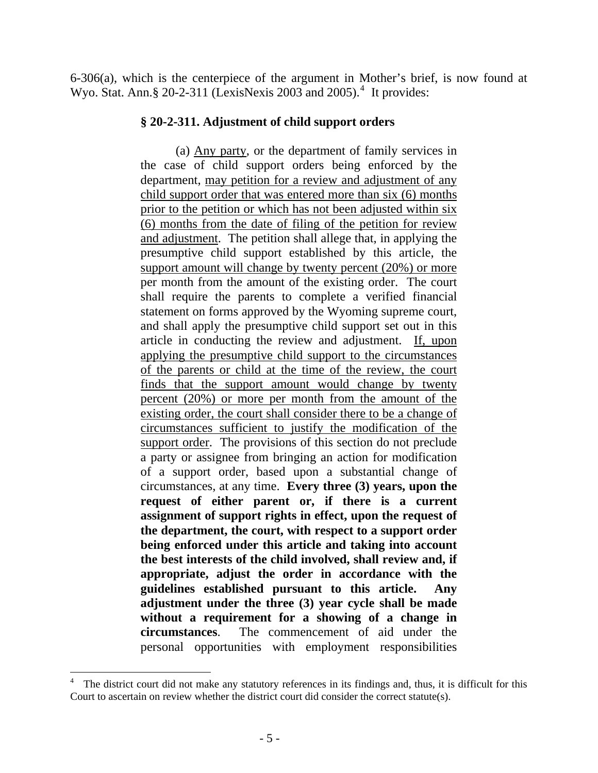6-306(a), which is the centerpiece of the argument in Mother's brief, is now found at Wyo. Stat. Ann. § 20-2-311 (LexisNexis 2003 and 2005). $4$  It provides:

#### **§ 20-2-311. Adjustment of child support orders**

 (a) Any party, or the department of family services in the case of child support orders being enforced by the department, may petition for a review and adjustment of any child support order that was entered more than six (6) months prior to the petition or which has not been adjusted within six (6) months from the date of filing of the petition for review and adjustment. The petition shall allege that, in applying the presumptive child support established by this article, the support amount will change by twenty percent (20%) or more per month from the amount of the existing order. The court shall require the parents to complete a verified financial statement on forms approved by the Wyoming supreme court, and shall apply the presumptive child support set out in this article in conducting the review and adjustment. If, upon applying the presumptive child support to the circumstances of the parents or child at the time of the review, the court finds that the support amount would change by twenty percent (20%) or more per month from the amount of the existing order, the court shall consider there to be a change of circumstances sufficient to justify the modification of the support order. The provisions of this section do not preclude a party or assignee from bringing an action for modification of a support order, based upon a substantial change of circumstances, at any time. **Every three (3) years, upon the request of either parent or, if there is a current assignment of support rights in effect, upon the request of the department, the court, with respect to a support order being enforced under this article and taking into account the best interests of the child involved, shall review and, if appropriate, adjust the order in accordance with the guidelines established pursuant to this article. Any adjustment under the three (3) year cycle shall be made without a requirement for a showing of a change in circumstances**. The commencement of aid under the personal opportunities with employment responsibilities

<span id="page-6-0"></span> 4 The district court did not make any statutory references in its findings and, thus, it is difficult for this Court to ascertain on review whether the district court did consider the correct statute(s).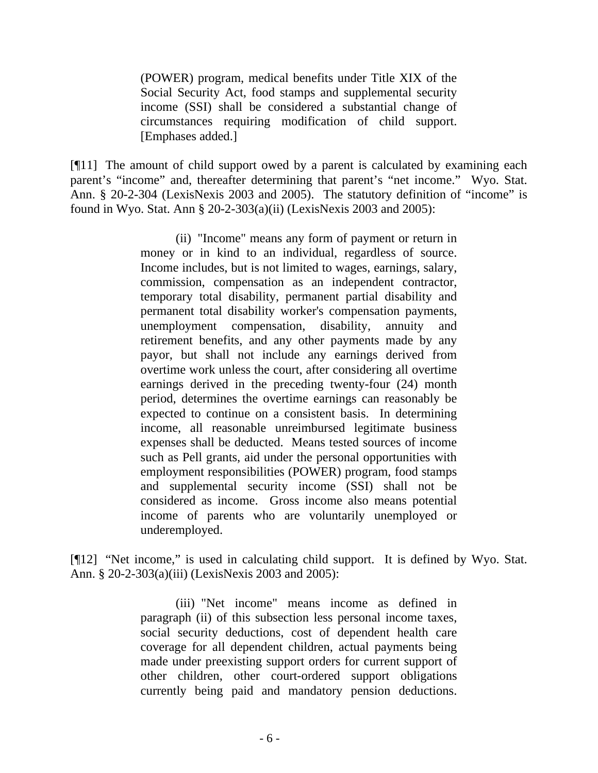(POWER) program, medical benefits under Title XIX of the Social Security Act, food stamps and supplemental security income (SSI) shall be considered a substantial change of circumstances requiring modification of child support. [Emphases added.]

[¶11] The amount of child support owed by a parent is calculated by examining each parent's "income" and, thereafter determining that parent's "net income." Wyo. Stat. Ann. § 20-2-304 (LexisNexis 2003 and 2005). The statutory definition of "income" is found in Wyo. Stat. Ann § 20-2-303(a)(ii) (LexisNexis 2003 and 2005):

> (ii) "Income" means any form of payment or return in money or in kind to an individual, regardless of source. Income includes, but is not limited to wages, earnings, salary, commission, compensation as an independent contractor, temporary total disability, permanent partial disability and permanent total disability worker's compensation payments, unemployment compensation, disability, annuity and retirement benefits, and any other payments made by any payor, but shall not include any earnings derived from overtime work unless the court, after considering all overtime earnings derived in the preceding twenty-four (24) month period, determines the overtime earnings can reasonably be expected to continue on a consistent basis. In determining income, all reasonable unreimbursed legitimate business expenses shall be deducted. Means tested sources of income such as Pell grants, aid under the personal opportunities with employment responsibilities (POWER) program, food stamps and supplemental security income (SSI) shall not be considered as income. Gross income also means potential income of parents who are voluntarily unemployed or underemployed.

[¶12] "Net income," is used in calculating child support. It is defined by Wyo. Stat. Ann. § 20-2-303(a)(iii) (LexisNexis 2003 and 2005):

> (iii) "Net income" means income as defined in paragraph (ii) of this subsection less personal income taxes, social security deductions, cost of dependent health care coverage for all dependent children, actual payments being made under preexisting support orders for current support of other children, other court-ordered support obligations currently being paid and mandatory pension deductions.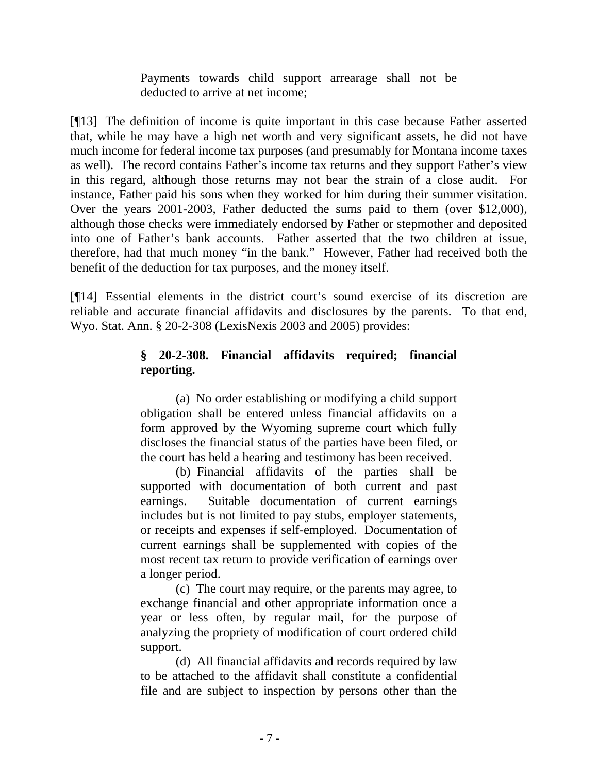Payments towards child support arrearage shall not be deducted to arrive at net income;

[¶13] The definition of income is quite important in this case because Father asserted that, while he may have a high net worth and very significant assets, he did not have much income for federal income tax purposes (and presumably for Montana income taxes as well). The record contains Father's income tax returns and they support Father's view in this regard, although those returns may not bear the strain of a close audit. For instance, Father paid his sons when they worked for him during their summer visitation. Over the years 2001-2003, Father deducted the sums paid to them (over \$12,000), although those checks were immediately endorsed by Father or stepmother and deposited into one of Father's bank accounts. Father asserted that the two children at issue, therefore, had that much money "in the bank." However, Father had received both the benefit of the deduction for tax purposes, and the money itself.

[¶14] Essential elements in the district court's sound exercise of its discretion are reliable and accurate financial affidavits and disclosures by the parents. To that end, Wyo. Stat. Ann. § 20-2-308 (LexisNexis 2003 and 2005) provides:

# **§ 20-2-308. Financial affidavits required; financial reporting.**

 (a) No order establishing or modifying a child support obligation shall be entered unless financial affidavits on a form approved by the Wyoming supreme court which fully discloses the financial status of the parties have been filed, or the court has held a hearing and testimony has been received.

 (b) Financial affidavits of the parties shall be supported with documentation of both current and past earnings. Suitable documentation of current earnings includes but is not limited to pay stubs, employer statements, or receipts and expenses if self-employed. Documentation of current earnings shall be supplemented with copies of the most recent tax return to provide verification of earnings over a longer period.

 (c) The court may require, or the parents may agree, to exchange financial and other appropriate information once a year or less often, by regular mail, for the purpose of analyzing the propriety of modification of court ordered child support.

 (d) All financial affidavits and records required by law to be attached to the affidavit shall constitute a confidential file and are subject to inspection by persons other than the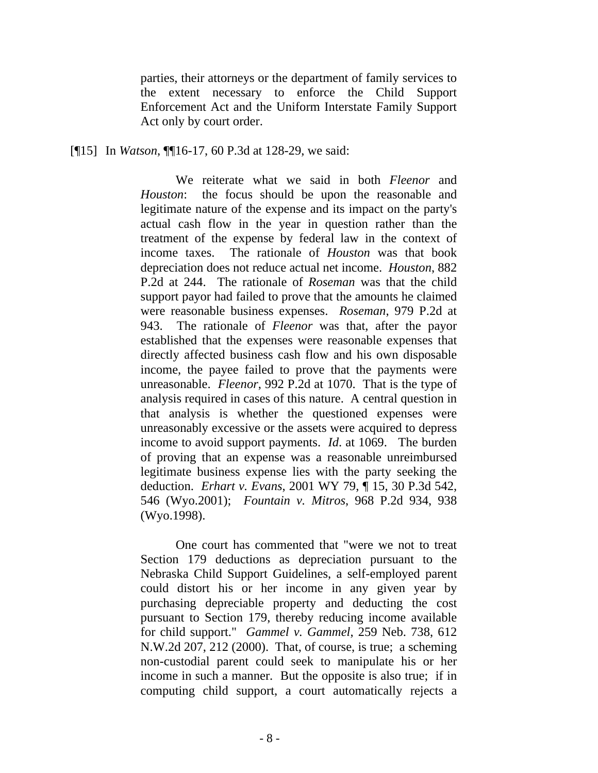parties, their attorneys or the department of family services to the extent necessary to enforce the Child Support Enforcement Act and the Uniform Interstate Family Support Act only by court order.

[¶15] In *Watson*, ¶¶16-17, 60 P.3d at 128-29, we said:

We reiterate what we said in both *Fleenor* and *Houston*: the focus should be upon the reasonable and legitimate nature of the expense and its impact on the party's actual cash flow in the year in question rather than the treatment of the expense by federal law in the context of income taxes. The rationale of *Houston* was that book depreciation does not reduce actual net income. *Houston*, 882 P.2d at 244. The rationale of *Roseman* was that the child support payor had failed to prove that the amounts he claimed were reasonable business expenses. *Roseman*, 979 P.2d at 943. The rationale of *Fleenor* was that, after the payor established that the expenses were reasonable expenses that directly affected business cash flow and his own disposable income, the payee failed to prove that the payments were unreasonable. *Fleenor*, 992 P.2d at 1070. That is the type of analysis required in cases of this nature. A central question in that analysis is whether the questioned expenses were unreasonably excessive or the assets were acquired to depress income to avoid support payments. *Id*. at 1069. The burden of proving that an expense was a reasonable unreimbursed legitimate business expense lies with the party seeking the deduction. *Erhart v. Evans*, 2001 WY 79, ¶ 15, 30 P.3d 542, 546 (Wyo.2001); *Fountain v. Mitros*, 968 P.2d 934, 938 (Wyo.1998).

 One court has commented that "were we not to treat Section 179 deductions as depreciation pursuant to the Nebraska Child Support Guidelines, a self-employed parent could distort his or her income in any given year by purchasing depreciable property and deducting the cost pursuant to Section 179, thereby reducing income available for child support." *Gammel v. Gammel*, 259 Neb. 738, 612 N.W.2d 207, 212 (2000). That, of course, is true; a scheming non-custodial parent could seek to manipulate his or her income in such a manner. But the opposite is also true; if in computing child support, a court automatically rejects a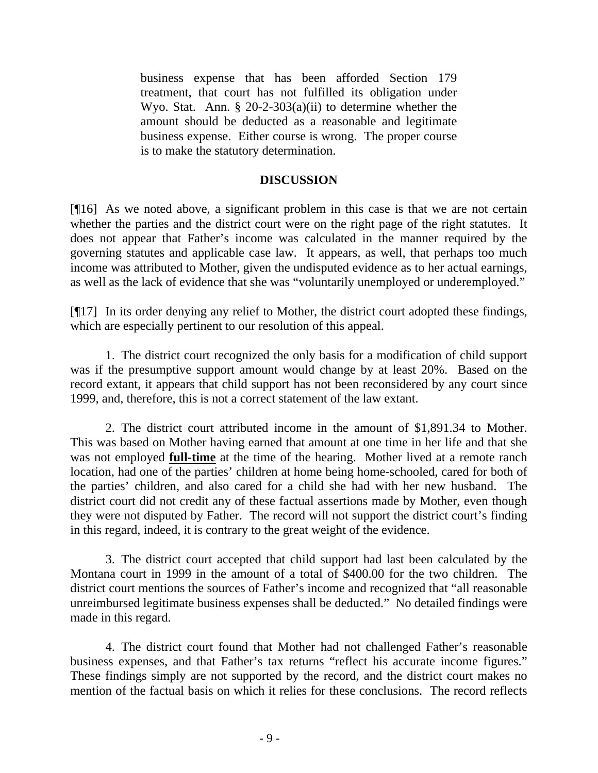business expense that has been afforded Section 179 treatment, that court has not fulfilled its obligation under Wyo. Stat. Ann. § 20-2-303(a)(ii) to determine whether the amount should be deducted as a reasonable and legitimate business expense. Either course is wrong. The proper course is to make the statutory determination.

#### **DISCUSSION**

[¶16] As we noted above, a significant problem in this case is that we are not certain whether the parties and the district court were on the right page of the right statutes. It does not appear that Father's income was calculated in the manner required by the governing statutes and applicable case law. It appears, as well, that perhaps too much income was attributed to Mother, given the undisputed evidence as to her actual earnings, as well as the lack of evidence that she was "voluntarily unemployed or underemployed."

[¶17] In its order denying any relief to Mother, the district court adopted these findings, which are especially pertinent to our resolution of this appeal.

 1. The district court recognized the only basis for a modification of child support was if the presumptive support amount would change by at least 20%. Based on the record extant, it appears that child support has not been reconsidered by any court since 1999, and, therefore, this is not a correct statement of the law extant.

 2. The district court attributed income in the amount of \$1,891.34 to Mother. This was based on Mother having earned that amount at one time in her life and that she was not employed **full-time** at the time of the hearing. Mother lived at a remote ranch location, had one of the parties' children at home being home-schooled, cared for both of the parties' children, and also cared for a child she had with her new husband. The district court did not credit any of these factual assertions made by Mother, even though they were not disputed by Father. The record will not support the district court's finding in this regard, indeed, it is contrary to the great weight of the evidence.

 3. The district court accepted that child support had last been calculated by the Montana court in 1999 in the amount of a total of \$400.00 for the two children. The district court mentions the sources of Father's income and recognized that "all reasonable unreimbursed legitimate business expenses shall be deducted." No detailed findings were made in this regard.

 4. The district court found that Mother had not challenged Father's reasonable business expenses, and that Father's tax returns "reflect his accurate income figures." These findings simply are not supported by the record, and the district court makes no mention of the factual basis on which it relies for these conclusions. The record reflects